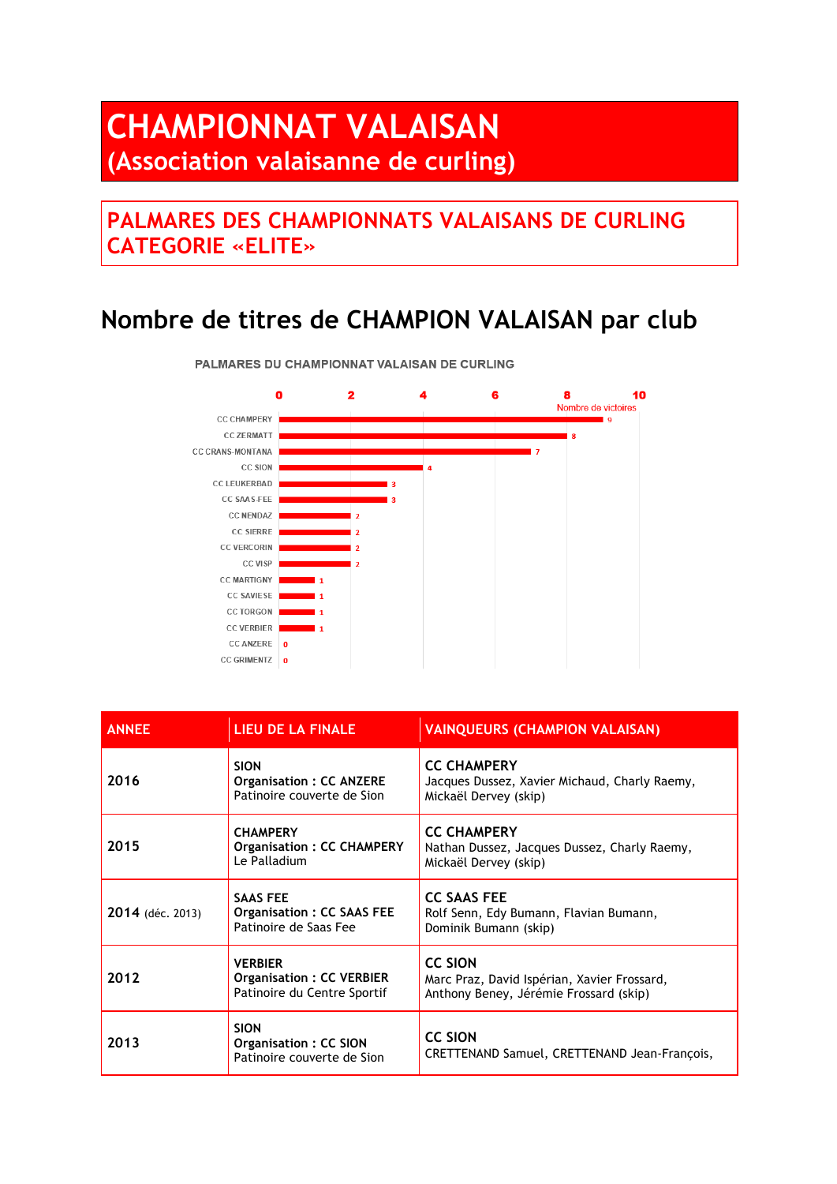## **CHAMPIONNAT VALAISAN (Association valaisanne de curling)**

## **PALMARES DES CHAMPIONNATS VALAISANS DE CURLING CATEGORIE «ELITE»**

## **Nombre de titres de CHAMPION VALAISAN par club**



PALMARES DU CHAMPIONNAT VALAISAN DE CURLING

| <b>ANNEE</b>     | LIEU DE LA FINALE                                                                | <b>VAINQUEURS (CHAMPION VALAISAN)</b>                                                                   |
|------------------|----------------------------------------------------------------------------------|---------------------------------------------------------------------------------------------------------|
| 2016             | <b>SION</b><br><b>Organisation: CC ANZERE</b><br>Patinoire couverte de Sion      | <b>CC CHAMPERY</b><br>Jacques Dussez, Xavier Michaud, Charly Raemy,<br>Mickaël Dervey (skip)            |
| 2015             | <b>CHAMPERY</b><br><b>Organisation: CC CHAMPERY</b><br>Le Palladium              | <b>CC CHAMPERY</b><br>Nathan Dussez, Jacques Dussez, Charly Raemy,<br>Mickaël Dervey (skip)             |
| 2014 (déc. 2013) | <b>SAAS FEE</b><br><b>Organisation: CC SAAS FEE</b><br>Patinoire de Saas Fee     | <b>CC SAAS FEE</b><br>Rolf Senn, Edy Bumann, Flavian Bumann,<br>Dominik Bumann (skip)                   |
| 2012             | <b>VERBIER</b><br><b>Organisation: CC VERBIER</b><br>Patinoire du Centre Sportif | <b>CC SION</b><br>Marc Praz, David Ispérian, Xavier Frossard,<br>Anthony Beney, Jérémie Frossard (skip) |
| 2013             | <b>SION</b><br>Organisation: CC SION<br>Patinoire couverte de Sion               | <b>CC SION</b><br>CRETTENAND Samuel, CRETTENAND Jean-François,                                          |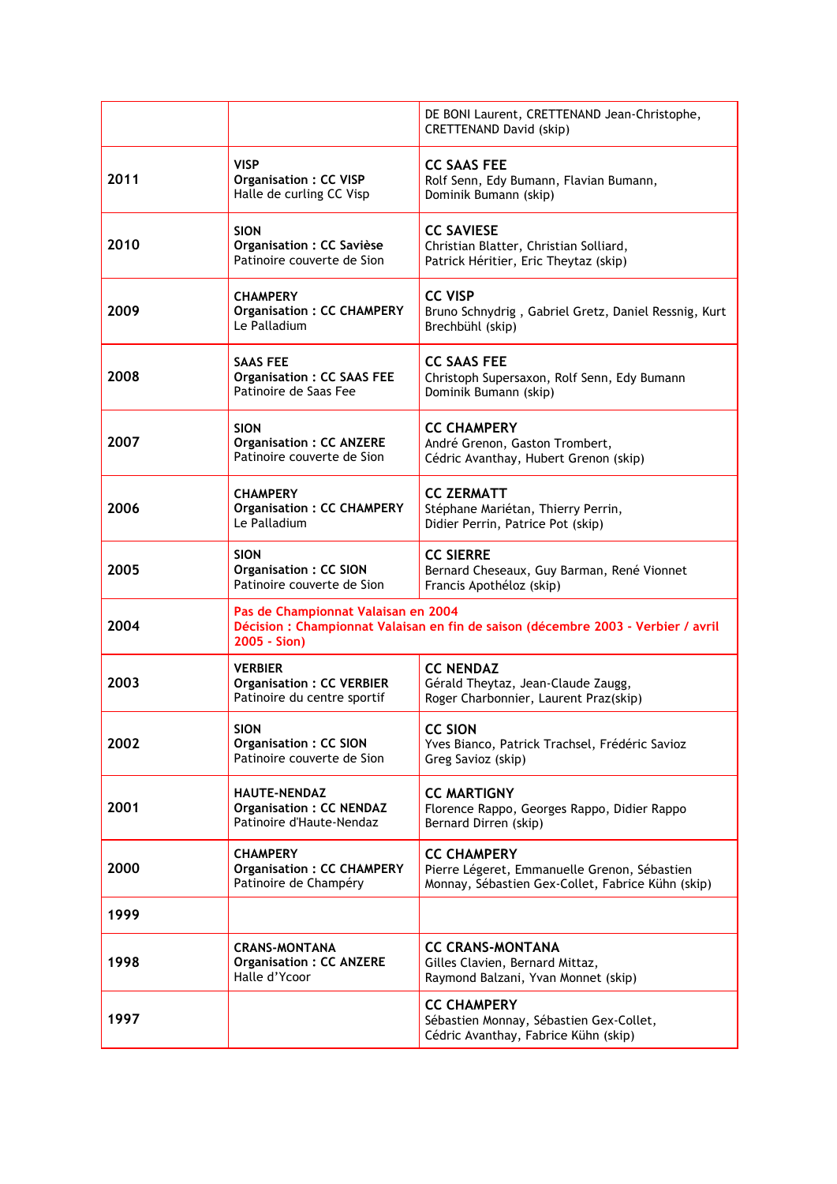|      |                                                                                                                                          | DE BONI Laurent, CRETTENAND Jean-Christophe,<br><b>CRETTENAND David (skip)</b>                                          |
|------|------------------------------------------------------------------------------------------------------------------------------------------|-------------------------------------------------------------------------------------------------------------------------|
| 2011 | <b>VISP</b><br><b>Organisation: CC VISP</b><br>Halle de curling CC Visp                                                                  | <b>CC SAAS FEE</b><br>Rolf Senn, Edy Bumann, Flavian Bumann,<br>Dominik Bumann (skip)                                   |
| 2010 | <b>SION</b><br>Organisation : CC Savièse<br>Patinoire couverte de Sion                                                                   | <b>CC SAVIESE</b><br>Christian Blatter, Christian Solliard,<br>Patrick Héritier, Eric Theytaz (skip)                    |
| 2009 | <b>CHAMPERY</b><br><b>Organisation: CC CHAMPERY</b><br>Le Palladium                                                                      | <b>CC VISP</b><br>Bruno Schnydrig, Gabriel Gretz, Daniel Ressnig, Kurt<br>Brechbühl (skip)                              |
| 2008 | SAAS FEE<br><b>Organisation: CC SAAS FEE</b><br>Patinoire de Saas Fee                                                                    | <b>CC SAAS FEE</b><br>Christoph Supersaxon, Rolf Senn, Edy Bumann<br>Dominik Bumann (skip)                              |
| 2007 | <b>SION</b><br><b>Organisation: CC ANZERE</b><br>Patinoire couverte de Sion                                                              | <b>CC CHAMPERY</b><br>André Grenon, Gaston Trombert,<br>Cédric Avanthay, Hubert Grenon (skip)                           |
| 2006 | <b>CHAMPERY</b><br><b>Organisation: CC CHAMPERY</b><br>Le Palladium                                                                      | <b>CC ZERMATT</b><br>Stéphane Mariétan, Thierry Perrin,<br>Didier Perrin, Patrice Pot (skip)                            |
| 2005 | <b>SION</b><br><b>Organisation: CC SION</b><br>Patinoire couverte de Sion                                                                | <b>CC SIERRE</b><br>Bernard Cheseaux, Guy Barman, René Vionnet<br>Francis Apothéloz (skip)                              |
| 2004 | Pas de Championnat Valaisan en 2004<br>Décision : Championnat Valaisan en fin de saison (décembre 2003 - Verbier / avril<br>2005 - Sion) |                                                                                                                         |
| 2003 | <b>VERBIER</b><br><b>Organisation: CC VERBIER</b><br>Patinoire du centre sportif                                                         | <b>CC NENDAZ</b><br>Gérald Theytaz, Jean-Claude Zaugg,<br>Roger Charbonnier, Laurent Praz(skip)                         |
| 2002 | <b>SION</b><br><b>Organisation: CC SION</b><br>Patinoire couverte de Sion                                                                | <b>CC SION</b><br>Yves Bianco, Patrick Trachsel, Frédéric Savioz<br>Greg Savioz (skip)                                  |
| 2001 | <b>HAUTE-NENDAZ</b><br><b>Organisation: CC NENDAZ</b><br>Patinoire d'Haute-Nendaz                                                        | <b>CC MARTIGNY</b><br>Florence Rappo, Georges Rappo, Didier Rappo<br>Bernard Dirren (skip)                              |
| 2000 | <b>CHAMPERY</b><br><b>Organisation: CC CHAMPERY</b><br>Patinoire de Champéry                                                             | <b>CC CHAMPERY</b><br>Pierre Légeret, Emmanuelle Grenon, Sébastien<br>Monnay, Sébastien Gex-Collet, Fabrice Kühn (skip) |
| 1999 |                                                                                                                                          |                                                                                                                         |
| 1998 | <b>CRANS-MONTANA</b><br><b>Organisation: CC ANZERE</b><br>Halle d'Ycoor                                                                  | <b>CC CRANS-MONTANA</b><br>Gilles Clavien, Bernard Mittaz,<br>Raymond Balzani, Yvan Monnet (skip)                       |
| 1997 |                                                                                                                                          | <b>CC CHAMPERY</b><br>Sébastien Monnay, Sébastien Gex-Collet,<br>Cédric Avanthay, Fabrice Kühn (skip)                   |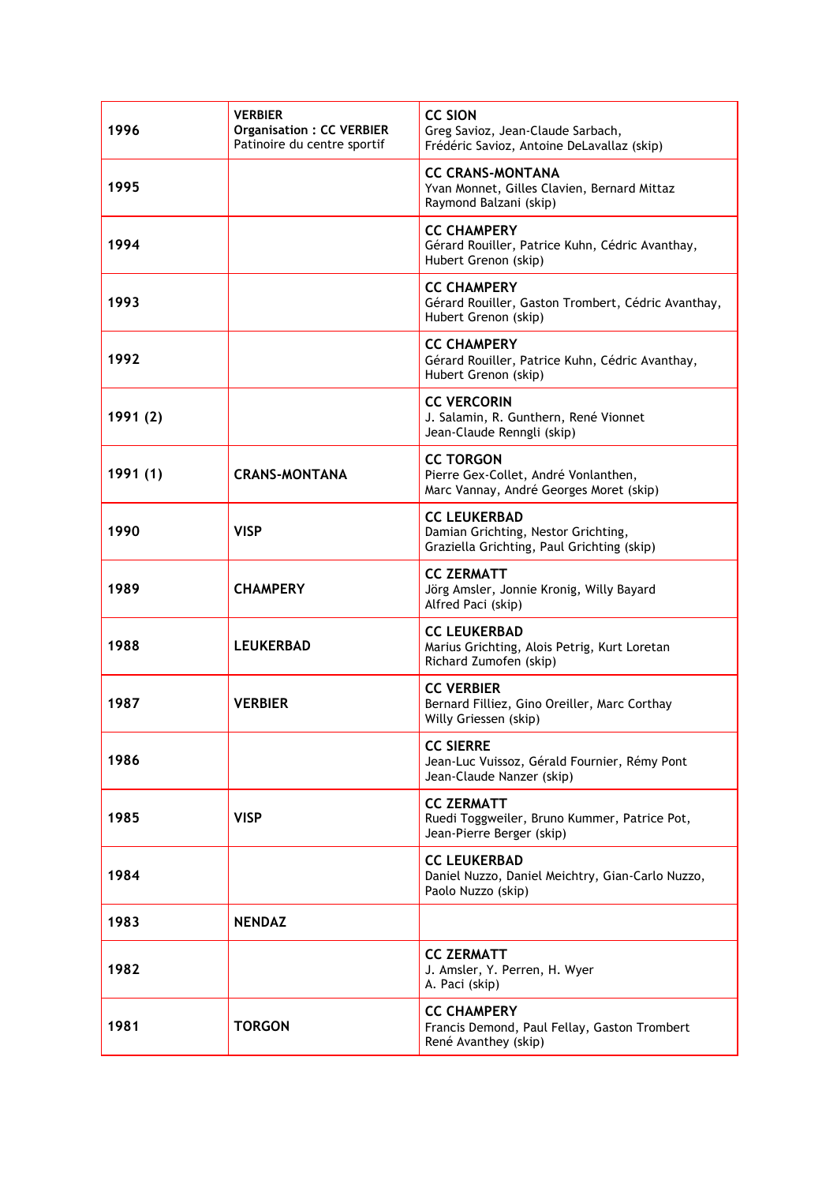| 1996     | <b>VERBIER</b><br><b>Organisation: CC VERBIER</b><br>Patinoire du centre sportif | <b>CC SION</b><br>Greg Savioz, Jean-Claude Sarbach,<br>Frédéric Savioz, Antoine DeLavallaz (skip)        |
|----------|----------------------------------------------------------------------------------|----------------------------------------------------------------------------------------------------------|
| 1995     |                                                                                  | <b>CC CRANS-MONTANA</b><br>Yvan Monnet, Gilles Clavien, Bernard Mittaz<br>Raymond Balzani (skip)         |
| 1994     |                                                                                  | <b>CC CHAMPERY</b><br>Gérard Rouiller, Patrice Kuhn, Cédric Avanthay,<br>Hubert Grenon (skip)            |
| 1993     |                                                                                  | <b>CC CHAMPERY</b><br>Gérard Rouiller, Gaston Trombert, Cédric Avanthay,<br>Hubert Grenon (skip)         |
| 1992     |                                                                                  | <b>CC CHAMPERY</b><br>Gérard Rouiller, Patrice Kuhn, Cédric Avanthay,<br>Hubert Grenon (skip)            |
| 1991 (2) |                                                                                  | <b>CC VERCORIN</b><br>J. Salamin, R. Gunthern, René Vionnet<br>Jean-Claude Renngli (skip)                |
| 1991 (1) | <b>CRANS-MONTANA</b>                                                             | <b>CC TORGON</b><br>Pierre Gex-Collet, André Vonlanthen,<br>Marc Vannay, André Georges Moret (skip)      |
| 1990     | <b>VISP</b>                                                                      | <b>CC LEUKERBAD</b><br>Damian Grichting, Nestor Grichting,<br>Graziella Grichting, Paul Grichting (skip) |
| 1989     | <b>CHAMPERY</b>                                                                  | <b>CC ZERMATT</b><br>Jörg Amsler, Jonnie Kronig, Willy Bayard<br>Alfred Paci (skip)                      |
| 1988     | <b>LEUKERBAD</b>                                                                 | <b>CC LEUKERBAD</b><br>Marius Grichting, Alois Petrig, Kurt Loretan<br>Richard Zumofen (skip)            |
| 1987     | <b>VERBIER</b>                                                                   | <b>CC VERBIER</b><br>Bernard Filliez, Gino Oreiller, Marc Corthay<br>Willy Griessen (skip)               |
| 1986     |                                                                                  | <b>CC SIERRE</b><br>Jean-Luc Vuissoz, Gérald Fournier, Rémy Pont<br>Jean-Claude Nanzer (skip)            |
| 1985     | <b>VISP</b>                                                                      | <b>CC ZERMATT</b><br>Ruedi Toggweiler, Bruno Kummer, Patrice Pot,<br>Jean-Pierre Berger (skip)           |
| 1984     |                                                                                  | <b>CC LEUKERBAD</b><br>Daniel Nuzzo, Daniel Meichtry, Gian-Carlo Nuzzo,<br>Paolo Nuzzo (skip)            |
| 1983     | <b>NENDAZ</b>                                                                    |                                                                                                          |
| 1982     |                                                                                  | <b>CC ZERMATT</b><br>J. Amsler, Y. Perren, H. Wyer<br>A. Paci (skip)                                     |
| 1981     | <b>TORGON</b>                                                                    | <b>CC CHAMPERY</b><br>Francis Demond, Paul Fellay, Gaston Trombert<br>René Avanthey (skip)               |